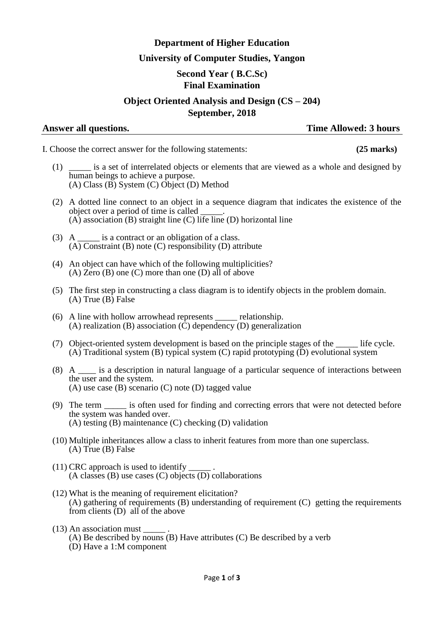## **Department of Higher Education**

## **University of Computer Studies, Yangon**

# **Second Year ( B.C.Sc)**

## **Final Examination**

## **Object Oriented Analysis and Design (CS – 204) September, 2018**

## **Answer all questions. Time Allowed: 3 hours**

- I. Choose the correct answer for the following statements: **(25 marks)**
	- (1) \_\_\_\_\_ is a set of interrelated objects or elements that are viewed as a whole and designed by human beings to achieve a purpose.  $(A)$  Class  $(\overrightarrow{B})$  System  $(C)$  Object  $(D)$  Method
	- (2) A dotted line connect to an object in a sequence diagram that indicates the existence of the object over a period of time is called \_\_\_\_\_. (A) association (B) straight line (C) life line (D) horizontal line
	- (3) A  $\qquad$  is a contract or an obligation of a class.  $(A)$  Constraint (B) note  $(C)$  responsibility  $(D)$  attribute
	- (4) An object can have which of the following multiplicities?  $(A)$  Zero  $(B)$  one  $(C)$  more than one  $(D)$  all of above
	- (5) The first step in constructing a class diagram is to identify objects in the problem domain. (A) True (B) False
	- (6) A line with hollow arrowhead represents \_\_\_\_\_ relationship. (A) realization (B) association ( $\dot{C}$ ) dependency (D) generalization
	- (7) Object-oriented system development is based on the principle stages of the life cycle.  $(A)$  Traditional system (B) typical system  $(C)$  rapid prototyping  $(D)$  evolutional system
	- (8) A \_\_\_\_ is a description in natural language of a particular sequence of interactions between the user and the system. (A) use case (B) scenario (C) note (D) tagged value
	- (9) The term \_\_\_\_\_ is often used for finding and correcting errors that were not detected before the system was handed over. (A) testing (B) maintenance (C) checking (D) validation
	- (10) Multiple inheritances allow a class to inherit features from more than one superclass. (A) True (B) False
	- $(11)$  CRC approach is used to identify  $(A \text{ classes } (B) \text{ use cases } (C) \text{ objects } (D) \text{ collaborations}$
	- (12) What is the meaning of requirement elicitation? (A) gathering of requirements (B) understanding of requirement (C) getting the requirements from clients (D) all of the above
	- (13) An association must \_\_\_\_\_ .
		- (A) Be described by nouns (B) Have attributes (C) Be described by a verb
		- (D) Have a 1:M component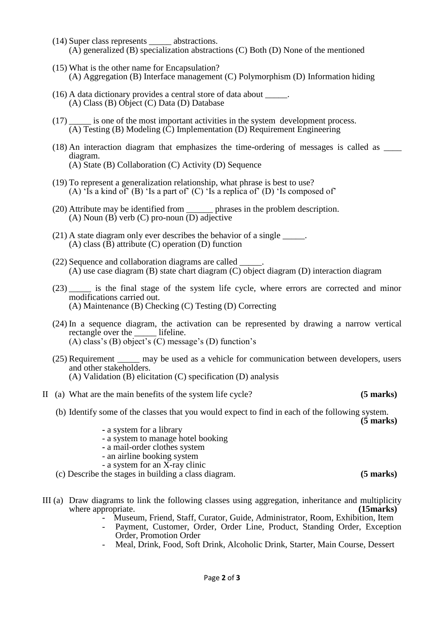- (14) Super class represents \_\_\_\_\_ abstractions. (A) generalized (B) specialization abstractions (C) Both (D) None of the mentioned
- (15) What is the other name for Encapsulation? (A) Aggregation (B) Interface management (C) Polymorphism (D) Information hiding
- $(16)$  A data dictionary provides a central store of data about  $\qquad \qquad$ . (A) Class (B) Object (C) Data (D) Database
- (17) \_\_\_\_\_ is one of the most important activities in the system development process.  $(A)$  Testing  $(B)$  Modeling  $(\tilde{C})$  Implementation  $(D)$  Requirement Engineering
- (18) An interaction diagram that emphasizes the time-ordering of messages is called as \_\_\_\_ diagram. (A) State (B) Collaboration (C) Activity (D) Sequence
- (19) To represent a generalization relationship, what phrase is best to use? (A) 'Is a kind of' (B) 'Is a part of' (C) 'Is a replica of' (D) 'Is composed of'
- (20) Attribute may be identified from \_\_\_\_\_\_ phrases in the problem description. (A) Noun (B) verb (C) pro-noun  $\overline{(D)}$  adjective
- (21) A state diagram only ever describes the behavior of a single \_\_\_\_\_. (A) class  $(\overline{B})$  attribute  $(C)$  operation  $(D)$  function
- (22) Sequence and collaboration diagrams are called \_\_\_\_\_. (A) use case diagram (B) state chart diagram (C) object diagram (D) interaction diagram
- (23) \_\_\_\_\_ is the final stage of the system life cycle, where errors are corrected and minor modifications carried out. (A) Maintenance (B) Checking (C) Testing (D) Correcting
- (24) In a sequence diagram, the activation can be represented by drawing a narrow vertical rectangle over the \_\_\_\_\_ lifeline. (A) class's (B) object's (C) message's (D) function's
- (25) Requirement \_\_\_\_\_ may be used as a vehicle for communication between developers, users and other stakeholders. (A) Validation (B) elicitation (C) specification (D) analysis
- II (a) What are the main benefits of the system life cycle? **(5 marks)**
	- (b) Identify some of the classes that you would expect to find in each of the following system.

**(5 marks)**

- **-** a system for a library
- a system to manage hotel booking
- **-** a mail-order clothes system
- an airline booking system
- a system for an X-ray clinic
- (c) Describe the stages in building a class diagram. **(5 marks)**
- III (a) Draw diagrams to link the following classes using aggregation, inheritance and multiplicity where appropriate. **(15marks) (15marks)** 
	- Museum, Friend, Staff, Curator, Guide, Administrator, Room, Exhibition, Item
	- Payment, Customer, Order, Order Line, Product, Standing Order, Exception Order, Promotion Order
	- Meal, Drink, Food, Soft Drink, Alcoholic Drink, Starter, Main Course, Dessert